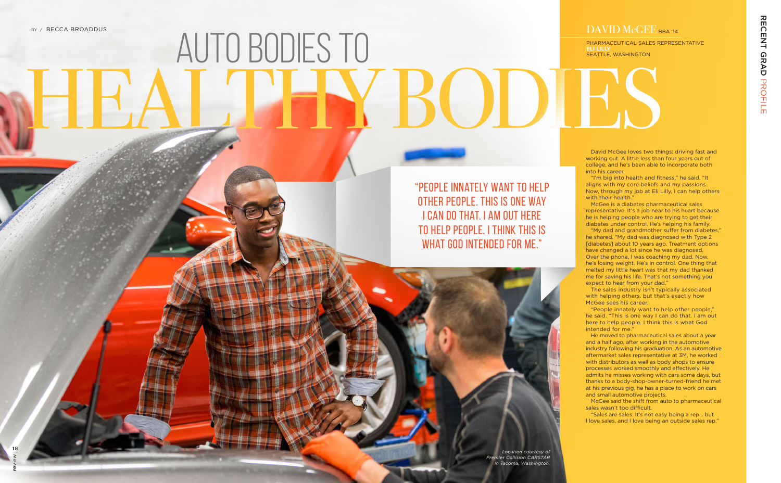David McGee loves two things: driving fast and working out. A little less than four years out of college, and he's been able to incorporate both into his career.

"I'm big into health and fitness," he said. "It aligns with my core beliefs and my passions. Now, through my job at Eli Lilly, I can help others with their health."

McGee is a diabetes pharmaceutical sales representative. It's a job near to his heart because he is helping people who are trying to get their diabetes under control. He's helping his family.

"People innately want to help other people," he said. "This is one way I can do that. I am out here to help people. I think this is what God intended for me.'

"My dad and grandmother suffer from diabetes," he shared. "My dad was diagnosed with Type 2 [diabetes] about 10 years ago. Treatment options have changed a lot since he was diagnosed. Over the phone, I was coaching my dad. Now, he's losing weight. He's in control. One thing that melted my little heart was that my dad thanked me for saving his life. That's not something you expect to hear from your dad."

"People innately want to help other people. This is one way I can do that. I am out here to help people. I think this is WHAT GOD INTENDED FOR ME."

The sales industry isn't typically associated with helping others, but that's exactly how McGee sees his career.

He moved to pharmaceutical sales about a year and a half ago, after working in the automotive industry following his graduation. As an automotive aftermarket sales representative at 3M, he worked with distributors as well as body shops to ensure processes worked smoothly and effectively. He admits he misses working with cars some days, but thanks to a body-shop-owner-turned-friend he met at his previous gig, he has a place to work on cars and small automotive projects.

McGee said the shift from auto to pharmaceutical sales wasn't too difficult.

"Sales are sales. It's not easy being a rep… but I love sales, and I love being an outside sales rep."

PHARMACEUTICAL SALES REPRESENTATIVE **ELI LILLY**  SEATTLE, WASHINGTON

## DAVID McGEE BBA '14

## Auto bodies to

*Location courtesy of Premier Collision CARSTAR in Tacoma, Washington.*